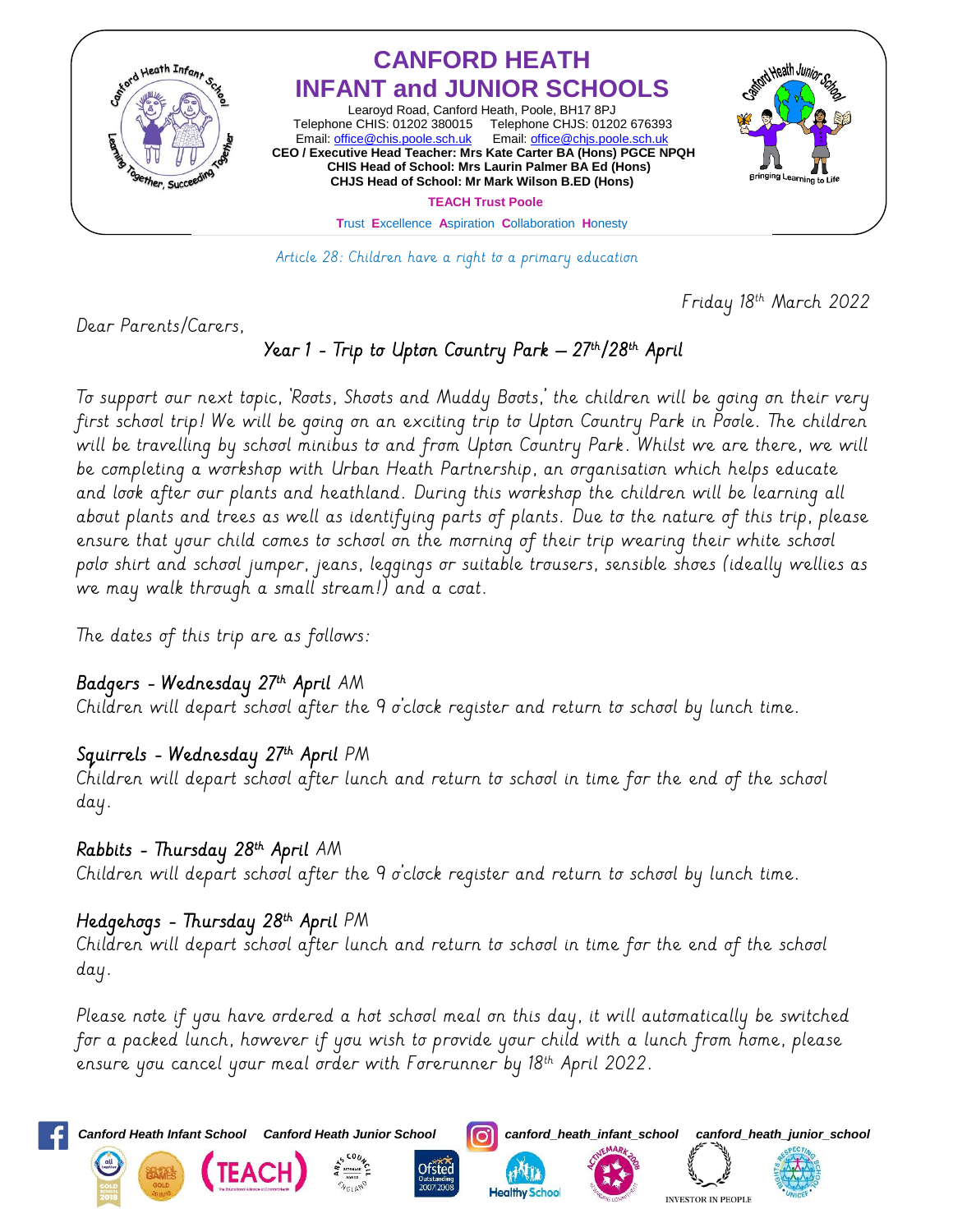

Article 28: Children have a right to a primary education

Friday 18th March 2022

Dear Parents/Carers,

# Year 1 - Trip to Upton Country Park – 27th/28th April

To support our next topic, 'Roots, Shoots and Muddy Boots,' the children will be going on their very first school trip! We will be going on an exciting trip to Upton Country Park in Poole. The children will be travelling by school minibus to and from Upton Country Park. Whilst we are there, we will be completing a workshop with Urban Heath Partnership, an organisation which helps educate and look after our plants and heathland. During this workshop the children will be learning all about plants and trees as well as identifying parts of plants. Due to the nature of this trip, please ensure that your child comes to school on the morning of their trip wearing their white school polo shirt and school jumper, jeans, leggings or suitable trousers, sensible shoes (ideally wellies as we may walk through a small stream!) and a coat.

The dates of this trip are as follows:

### Badgers - Wednesday 27th April AM-

Children will depart school after the 9 o'clock register and return to school by lunch time.

### Squirrels - Wednesday 27th April PM

Children will depart school after lunch and return to school in time for the end of the school day.

#### Rabbits - Thursday 28<sup>th</sup> April AM

Children will depart school after the 9 o'clock register and return to school by lunch time.

## Hedgehogs - Thursday 28<sup>th</sup> April PM

Children will depart school after lunch and return to school in time for the end of the school day.

Please note if you have ordered a hot school meal on this day, it will automatically be switched for a packed lunch, however if you wish to provide your child with a lunch from home, please ensure you cancel your meal order with Forerunner by 18<sup>th</sup> April 2022.